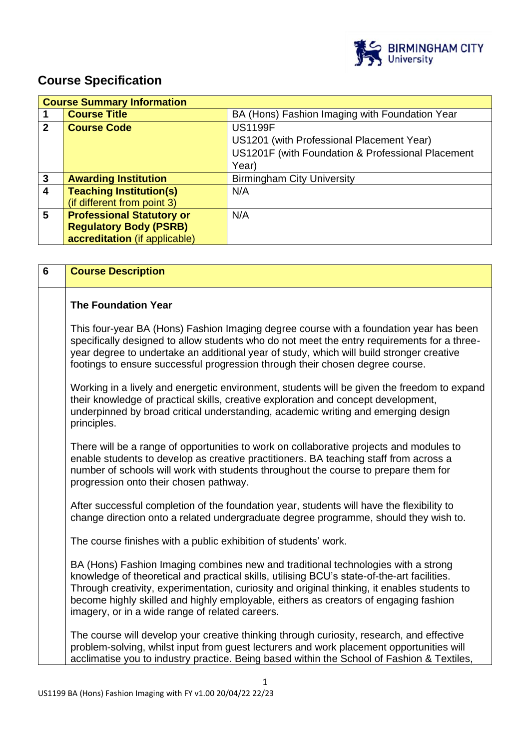

# **Course Specification**

|                         | <b>Course Summary Information</b> |                                                   |  |
|-------------------------|-----------------------------------|---------------------------------------------------|--|
|                         | <b>Course Title</b>               | BA (Hons) Fashion Imaging with Foundation Year    |  |
| $\mathbf{2}$            | <b>Course Code</b>                | <b>US1199F</b>                                    |  |
|                         |                                   | US1201 (with Professional Placement Year)         |  |
|                         |                                   | US1201F (with Foundation & Professional Placement |  |
|                         |                                   | Year)                                             |  |
| 3                       | <b>Awarding Institution</b>       | <b>Birmingham City University</b>                 |  |
| $\overline{\mathbf{4}}$ | <b>Teaching Institution(s)</b>    | N/A                                               |  |
|                         | (if different from point 3)       |                                                   |  |
| 5                       | <b>Professional Statutory or</b>  | N/A                                               |  |
|                         | <b>Regulatory Body (PSRB)</b>     |                                                   |  |
|                         | accreditation (if applicable)     |                                                   |  |

| $6\phantom{1}$ | <b>Course Description</b>                                                                                                                                                                                                                                                                                                                                                                                                   |
|----------------|-----------------------------------------------------------------------------------------------------------------------------------------------------------------------------------------------------------------------------------------------------------------------------------------------------------------------------------------------------------------------------------------------------------------------------|
|                | <b>The Foundation Year</b>                                                                                                                                                                                                                                                                                                                                                                                                  |
|                | This four-year BA (Hons) Fashion Imaging degree course with a foundation year has been<br>specifically designed to allow students who do not meet the entry requirements for a three-<br>year degree to undertake an additional year of study, which will build stronger creative<br>footings to ensure successful progression through their chosen degree course.                                                          |
|                | Working in a lively and energetic environment, students will be given the freedom to expand<br>their knowledge of practical skills, creative exploration and concept development,<br>underpinned by broad critical understanding, academic writing and emerging design<br>principles.                                                                                                                                       |
|                | There will be a range of opportunities to work on collaborative projects and modules to<br>enable students to develop as creative practitioners. BA teaching staff from across a<br>number of schools will work with students throughout the course to prepare them for<br>progression onto their chosen pathway.                                                                                                           |
|                | After successful completion of the foundation year, students will have the flexibility to<br>change direction onto a related undergraduate degree programme, should they wish to.                                                                                                                                                                                                                                           |
|                | The course finishes with a public exhibition of students' work.                                                                                                                                                                                                                                                                                                                                                             |
|                | BA (Hons) Fashion Imaging combines new and traditional technologies with a strong<br>knowledge of theoretical and practical skills, utilising BCU's state-of-the-art facilities.<br>Through creativity, experimentation, curiosity and original thinking, it enables students to<br>become highly skilled and highly employable, eithers as creators of engaging fashion<br>imagery, or in a wide range of related careers. |
|                | The course will develop your creative thinking through curiosity, research, and effective<br>problem-solving, whilst input from guest lecturers and work placement opportunities will<br>acclimatise you to industry practice. Being based within the School of Fashion & Textiles,                                                                                                                                         |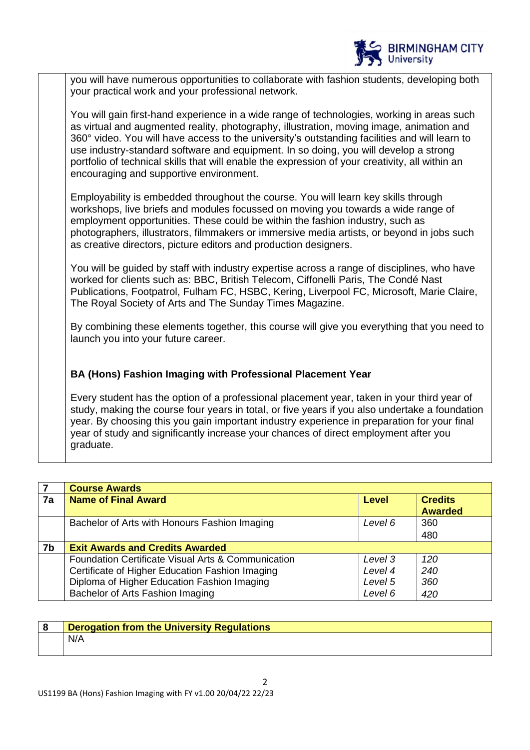

you will have numerous opportunities to collaborate with fashion students, developing both your practical work and your professional network.

You will gain first-hand experience in a wide range of technologies, working in areas such as virtual and augmented reality, photography, illustration, moving image, animation and 360° video. You will have access to the university's outstanding facilities and will learn to use industry-standard software and equipment. In so doing, you will develop a strong portfolio of technical skills that will enable the expression of your creativity, all within an encouraging and supportive environment.

Employability is embedded throughout the course. You will learn key skills through workshops, live briefs and modules focussed on moving you towards a wide range of employment opportunities. These could be within the fashion industry, such as photographers, illustrators, filmmakers or immersive media artists, or beyond in jobs such as creative directors, picture editors and production designers.

You will be guided by staff with industry expertise across a range of disciplines, who have worked for clients such as: BBC, British Telecom, Ciffonelli Paris, The Condé Nast Publications, Footpatrol, Fulham FC, HSBC, Kering, Liverpool FC, Microsoft, Marie Claire, The Royal Society of Arts and The Sunday Times Magazine.

By combining these elements together, this course will give you everything that you need to launch you into your future career.

## **BA (Hons) Fashion Imaging with Professional Placement Year**

Every student has the option of a professional placement year, taken in your third year of study, making the course four years in total, or five years if you also undertake a foundation year. By choosing this you gain important industry experience in preparation for your final year of study and significantly increase your chances of direct employment after you graduate.

|    | <b>Course Awards</b>                               |              |                |
|----|----------------------------------------------------|--------------|----------------|
| 7a | <b>Name of Final Award</b>                         | <b>Level</b> | <b>Credits</b> |
|    |                                                    |              | <b>Awarded</b> |
|    | Bachelor of Arts with Honours Fashion Imaging      | Level 6      | 360            |
|    |                                                    |              | 480            |
| 7b | <b>Exit Awards and Credits Awarded</b>             |              |                |
|    | Foundation Certificate Visual Arts & Communication | Level 3      | 120            |
|    | Certificate of Higher Education Fashion Imaging    | Level 4      | 240            |
|    | Diploma of Higher Education Fashion Imaging        | Level 5      | 360            |
|    | Bachelor of Arts Fashion Imaging                   | Level 6      | 420            |

| <b>Derogation from the University Regulations</b> |
|---------------------------------------------------|
| N/A                                               |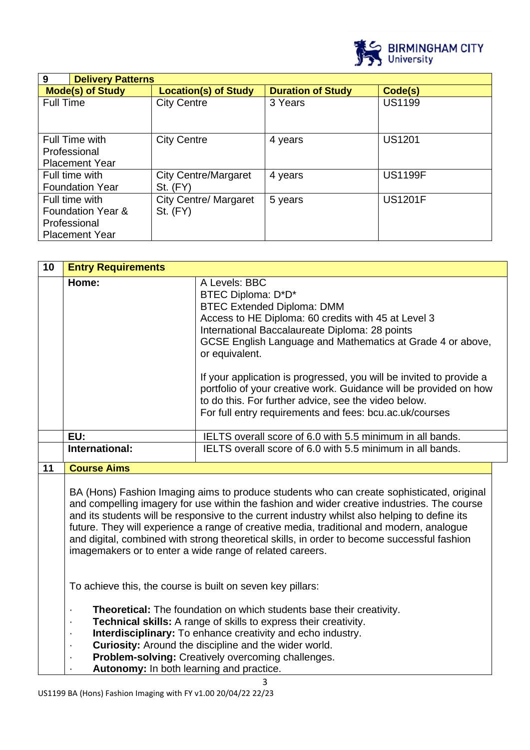

| 9<br><b>Delivery Patterns</b>                                                           |                                          |                          |                |
|-----------------------------------------------------------------------------------------|------------------------------------------|--------------------------|----------------|
| <b>Mode(s) of Study</b>                                                                 | <b>Location(s) of Study</b>              | <b>Duration of Study</b> | Code(s)        |
| <b>Full Time</b>                                                                        | <b>City Centre</b>                       | 3 Years                  | <b>US1199</b>  |
| Full Time with<br>Professional<br><b>Placement Year</b>                                 | <b>City Centre</b>                       | 4 years                  | <b>US1201</b>  |
| Full time with<br><b>Foundation Year</b>                                                | <b>City Centre/Margaret</b><br>St. (FY)  | 4 years                  | <b>US1199F</b> |
| Full time with<br><b>Foundation Year &amp;</b><br>Professional<br><b>Placement Year</b> | <b>City Centre/ Margaret</b><br>St. (FY) | 5 years                  | <b>US1201F</b> |

| 10 | <b>Entry Requirements</b>                                                                                                                                                                                                                                                                                                                                                                                                                                                                                                                        |                                                                                                                                                                                                                                                                                                                                                                                                                                                                                                                                  |  |
|----|--------------------------------------------------------------------------------------------------------------------------------------------------------------------------------------------------------------------------------------------------------------------------------------------------------------------------------------------------------------------------------------------------------------------------------------------------------------------------------------------------------------------------------------------------|----------------------------------------------------------------------------------------------------------------------------------------------------------------------------------------------------------------------------------------------------------------------------------------------------------------------------------------------------------------------------------------------------------------------------------------------------------------------------------------------------------------------------------|--|
|    | Home:                                                                                                                                                                                                                                                                                                                                                                                                                                                                                                                                            | A Levels: BBC<br>BTEC Diploma: D*D*<br><b>BTEC Extended Diploma: DMM</b><br>Access to HE Diploma: 60 credits with 45 at Level 3<br>International Baccalaureate Diploma: 28 points<br>GCSE English Language and Mathematics at Grade 4 or above,<br>or equivalent.<br>If your application is progressed, you will be invited to provide a<br>portfolio of your creative work. Guidance will be provided on how<br>to do this. For further advice, see the video below.<br>For full entry requirements and fees: bcu.ac.uk/courses |  |
|    | EU:                                                                                                                                                                                                                                                                                                                                                                                                                                                                                                                                              | IELTS overall score of 6.0 with 5.5 minimum in all bands.                                                                                                                                                                                                                                                                                                                                                                                                                                                                        |  |
|    | International:                                                                                                                                                                                                                                                                                                                                                                                                                                                                                                                                   | IELTS overall score of 6.0 with 5.5 minimum in all bands.                                                                                                                                                                                                                                                                                                                                                                                                                                                                        |  |
| 11 | <b>Course Aims</b>                                                                                                                                                                                                                                                                                                                                                                                                                                                                                                                               |                                                                                                                                                                                                                                                                                                                                                                                                                                                                                                                                  |  |
|    | BA (Hons) Fashion Imaging aims to produce students who can create sophisticated, original<br>and compelling imagery for use within the fashion and wider creative industries. The course<br>and its students will be responsive to the current industry whilst also helping to define its<br>future. They will experience a range of creative media, traditional and modern, analogue<br>and digital, combined with strong theoretical skills, in order to become successful fashion<br>imagemakers or to enter a wide range of related careers. |                                                                                                                                                                                                                                                                                                                                                                                                                                                                                                                                  |  |
|    | To achieve this, the course is built on seven key pillars:                                                                                                                                                                                                                                                                                                                                                                                                                                                                                       |                                                                                                                                                                                                                                                                                                                                                                                                                                                                                                                                  |  |
|    | $\blacksquare$                                                                                                                                                                                                                                                                                                                                                                                                                                                                                                                                   | Theoretical: The foundation on which students base their creativity.                                                                                                                                                                                                                                                                                                                                                                                                                                                             |  |
|    |                                                                                                                                                                                                                                                                                                                                                                                                                                                                                                                                                  | Technical skills: A range of skills to express their creativity.                                                                                                                                                                                                                                                                                                                                                                                                                                                                 |  |
|    | $\blacksquare$                                                                                                                                                                                                                                                                                                                                                                                                                                                                                                                                   | Interdisciplinary: To enhance creativity and echo industry.                                                                                                                                                                                                                                                                                                                                                                                                                                                                      |  |
|    | $\blacksquare$                                                                                                                                                                                                                                                                                                                                                                                                                                                                                                                                   | Curiosity: Around the discipline and the wider world.                                                                                                                                                                                                                                                                                                                                                                                                                                                                            |  |
|    | Problem-solving: Creatively overcoming challenges.<br>$\blacksquare$                                                                                                                                                                                                                                                                                                                                                                                                                                                                             |                                                                                                                                                                                                                                                                                                                                                                                                                                                                                                                                  |  |
|    | Autonomy: In both learning and practice.                                                                                                                                                                                                                                                                                                                                                                                                                                                                                                         |                                                                                                                                                                                                                                                                                                                                                                                                                                                                                                                                  |  |
|    | 3                                                                                                                                                                                                                                                                                                                                                                                                                                                                                                                                                |                                                                                                                                                                                                                                                                                                                                                                                                                                                                                                                                  |  |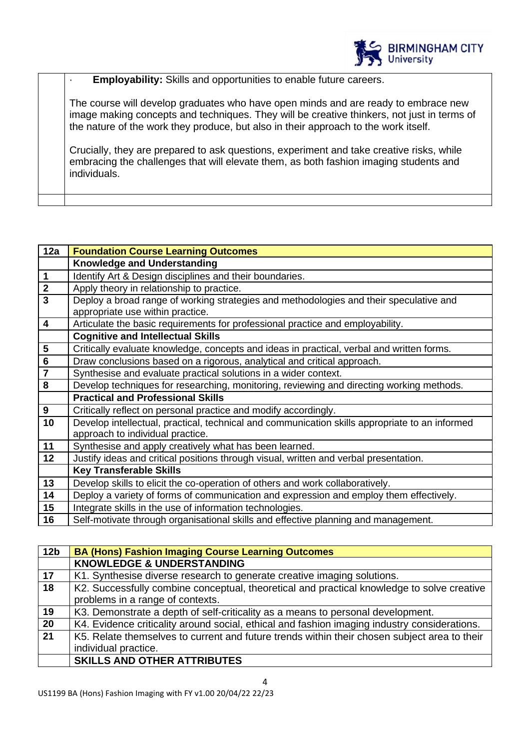

· **Employability:** Skills and opportunities to enable future careers.

The course will develop graduates who have open minds and are ready to embrace new image making concepts and techniques. They will be creative thinkers, not just in terms of the nature of the work they produce, but also in their approach to the work itself.

Crucially, they are prepared to ask questions, experiment and take creative risks, while embracing the challenges that will elevate them, as both fashion imaging students and individuals.

| 12a                     | <b>Foundation Course Learning Outcomes</b>                                                     |
|-------------------------|------------------------------------------------------------------------------------------------|
|                         | <b>Knowledge and Understanding</b>                                                             |
| $\mathbf 1$             | Identify Art & Design disciplines and their boundaries.                                        |
| $\mathbf{2}$            | Apply theory in relationship to practice.                                                      |
| $\overline{\mathbf{3}}$ | Deploy a broad range of working strategies and methodologies and their speculative and         |
|                         | appropriate use within practice.                                                               |
| $\overline{\mathbf{4}}$ | Articulate the basic requirements for professional practice and employability.                 |
|                         | <b>Cognitive and Intellectual Skills</b>                                                       |
| $\sqrt{5}$              | Critically evaluate knowledge, concepts and ideas in practical, verbal and written forms.      |
| $\overline{\mathbf{6}}$ | Draw conclusions based on a rigorous, analytical and critical approach.                        |
| $\overline{7}$          | Synthesise and evaluate practical solutions in a wider context.                                |
| 8                       | Develop techniques for researching, monitoring, reviewing and directing working methods.       |
|                         | <b>Practical and Professional Skills</b>                                                       |
| 9                       | Critically reflect on personal practice and modify accordingly.                                |
| 10                      | Develop intellectual, practical, technical and communication skills appropriate to an informed |
|                         | approach to individual practice.                                                               |
| 11                      | Synthesise and apply creatively what has been learned.                                         |
| 12                      | Justify ideas and critical positions through visual, written and verbal presentation.          |
|                         | <b>Key Transferable Skills</b>                                                                 |
| 13                      | Develop skills to elicit the co-operation of others and work collaboratively.                  |
| 14                      | Deploy a variety of forms of communication and expression and employ them effectively.         |
| 15                      | Integrate skills in the use of information technologies.                                       |
| 16                      | Self-motivate through organisational skills and effective planning and management.             |

| 12 <sub>b</sub> | <b>BA (Hons) Fashion Imaging Course Learning Outcomes</b>                                    |
|-----------------|----------------------------------------------------------------------------------------------|
|                 | <b>KNOWLEDGE &amp; UNDERSTANDING</b>                                                         |
| 17              | K1. Synthesise diverse research to generate creative imaging solutions.                      |
| 18              | K2. Successfully combine conceptual, theoretical and practical knowledge to solve creative   |
|                 | problems in a range of contexts.                                                             |
| 19              | K3. Demonstrate a depth of self-criticality as a means to personal development.              |
| 20              | K4. Evidence criticality around social, ethical and fashion imaging industry considerations. |
| 21              | K5. Relate themselves to current and future trends within their chosen subject area to their |
|                 | individual practice.                                                                         |
|                 | <b>SKILLS AND OTHER ATTRIBUTES</b>                                                           |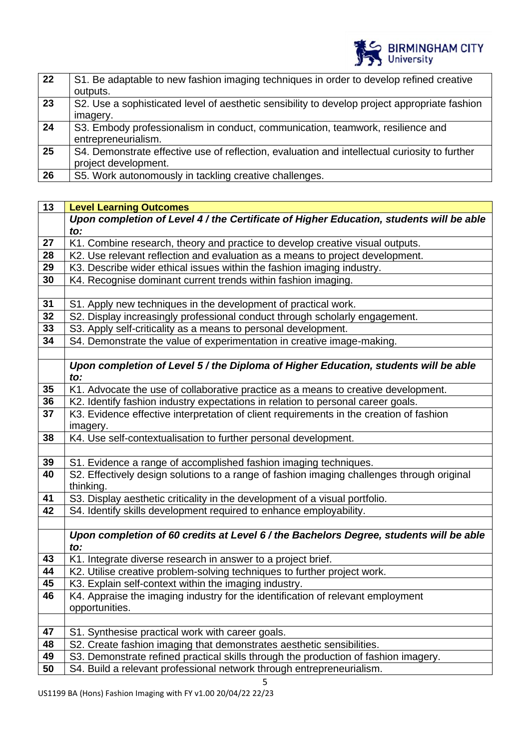

| $\overline{22}$ | S1. Be adaptable to new fashion imaging techniques in order to develop refined creative       |
|-----------------|-----------------------------------------------------------------------------------------------|
|                 | outputs.                                                                                      |
| 23              | S2. Use a sophisticated level of aesthetic sensibility to develop project appropriate fashion |
|                 | imagery.                                                                                      |
| 24              | S3. Embody professionalism in conduct, communication, teamwork, resilience and                |
|                 | entrepreneurialism.                                                                           |
| 25              | S4. Demonstrate effective use of reflection, evaluation and intellectual curiosity to further |
|                 | project development.                                                                          |
| 26              | S5. Work autonomously in tackling creative challenges.                                        |

| 13 | <b>Level Learning Outcomes</b>                                                             |
|----|--------------------------------------------------------------------------------------------|
|    | Upon completion of Level 4 / the Certificate of Higher Education, students will be able    |
|    | to:                                                                                        |
| 27 | K1. Combine research, theory and practice to develop creative visual outputs.              |
| 28 | K2. Use relevant reflection and evaluation as a means to project development.              |
| 29 | K3. Describe wider ethical issues within the fashion imaging industry.                     |
| 30 | K4. Recognise dominant current trends within fashion imaging.                              |
|    |                                                                                            |
| 31 | S1. Apply new techniques in the development of practical work.                             |
| 32 | S2. Display increasingly professional conduct through scholarly engagement.                |
| 33 | S3. Apply self-criticality as a means to personal development.                             |
| 34 | S4. Demonstrate the value of experimentation in creative image-making.                     |
|    |                                                                                            |
|    | Upon completion of Level 5 / the Diploma of Higher Education, students will be able        |
|    | to:                                                                                        |
| 35 | K1. Advocate the use of collaborative practice as a means to creative development.         |
| 36 | K2. Identify fashion industry expectations in relation to personal career goals.           |
| 37 | K3. Evidence effective interpretation of client requirements in the creation of fashion    |
|    | imagery.                                                                                   |
| 38 | K4. Use self-contextualisation to further personal development.                            |
|    |                                                                                            |
| 39 | S1. Evidence a range of accomplished fashion imaging techniques.                           |
| 40 | S2. Effectively design solutions to a range of fashion imaging challenges through original |
|    | thinking.                                                                                  |
| 41 | S3. Display aesthetic criticality in the development of a visual portfolio.                |
| 42 | S4. Identify skills development required to enhance employability.                         |
|    |                                                                                            |
|    | Upon completion of 60 credits at Level 6 / the Bachelors Degree, students will be able     |
|    | to:                                                                                        |
| 43 | K1. Integrate diverse research in answer to a project brief.                               |
| 44 | K2. Utilise creative problem-solving techniques to further project work.                   |
| 45 | K3. Explain self-context within the imaging industry.                                      |
| 46 | K4. Appraise the imaging industry for the identification of relevant employment            |
|    | opportunities.                                                                             |
|    |                                                                                            |
| 47 | S1. Synthesise practical work with career goals.                                           |
| 48 | S2. Create fashion imaging that demonstrates aesthetic sensibilities.                      |
| 49 | S3. Demonstrate refined practical skills through the production of fashion imagery.        |
| 50 | S4. Build a relevant professional network through entrepreneurialism.                      |
|    | 5                                                                                          |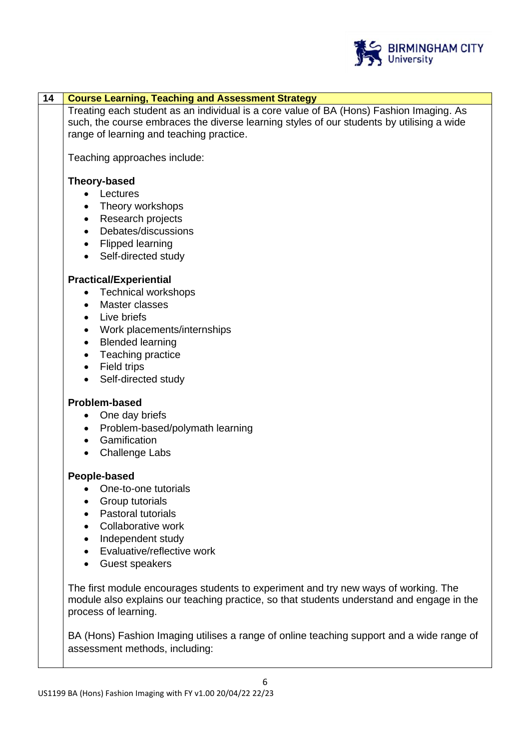

## **14 Course Learning, Teaching and Assessment Strategy** Treating each student as an individual is a core value of BA (Hons) Fashion Imaging. As such, the course embraces the diverse learning styles of our students by utilising a wide range of learning and teaching practice. Teaching approaches include: **Theory-based** • Lectures • Theory workshops • Research projects • Debates/discussions • Flipped learning • Self-directed study **Practical/Experiential** • Technical workshops • Master classes • Live briefs • Work placements/internships • Blended learning • Teaching practice • Field trips • Self-directed study **Problem-based** • One day briefs • Problem-based/polymath learning • Gamification • Challenge Labs **People-based** • One-to-one tutorials • Group tutorials • Pastoral tutorials • Collaborative work • Independent study • Evaluative/reflective work • Guest speakers The first module encourages students to experiment and try new ways of working. The module also explains our teaching practice, so that students understand and engage in the process of learning. BA (Hons) Fashion Imaging utilises a range of online teaching support and a wide range of assessment methods, including: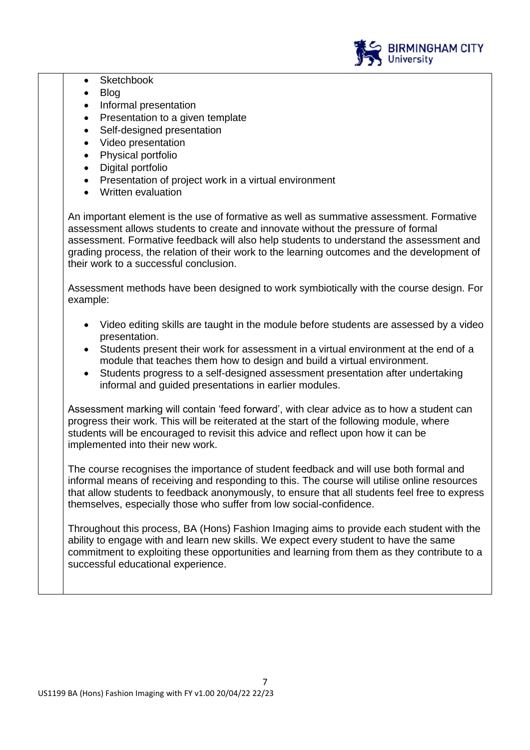

- Sketchbook
- Blog
- Informal presentation
- Presentation to a given template
- Self-designed presentation
- Video presentation
- Physical portfolio
- Digital portfolio
- Presentation of project work in a virtual environment
- Written evaluation

An important element is the use of formative as well as summative assessment. Formative assessment allows students to create and innovate without the pressure of formal assessment. Formative feedback will also help students to understand the assessment and grading process, the relation of their work to the learning outcomes and the development of their work to a successful conclusion.

Assessment methods have been designed to work symbiotically with the course design. For example:

- Video editing skills are taught in the module before students are assessed by a video presentation.
- Students present their work for assessment in a virtual environment at the end of a module that teaches them how to design and build a virtual environment.
- Students progress to a self-designed assessment presentation after undertaking informal and guided presentations in earlier modules.

Assessment marking will contain 'feed forward', with clear advice as to how a student can progress their work. This will be reiterated at the start of the following module, where students will be encouraged to revisit this advice and reflect upon how it can be implemented into their new work.

The course recognises the importance of student feedback and will use both formal and informal means of receiving and responding to this. The course will utilise online resources that allow students to feedback anonymously, to ensure that all students feel free to express themselves, especially those who suffer from low social-confidence.

Throughout this process, BA (Hons) Fashion Imaging aims to provide each student with the ability to engage with and learn new skills. We expect every student to have the same commitment to exploiting these opportunities and learning from them as they contribute to a successful educational experience.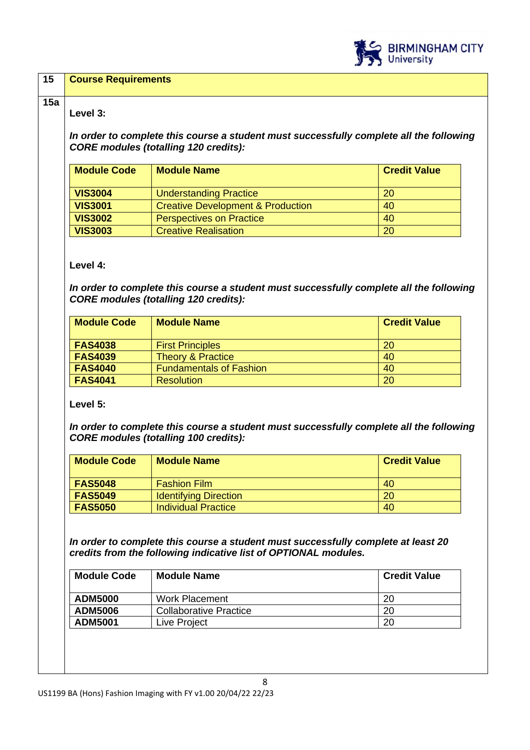

| <b>Course Requirements</b>                                                                                                              |                                                                                                                                                                                                                    |                           |  |
|-----------------------------------------------------------------------------------------------------------------------------------------|--------------------------------------------------------------------------------------------------------------------------------------------------------------------------------------------------------------------|---------------------------|--|
| Level 3:                                                                                                                                |                                                                                                                                                                                                                    |                           |  |
| In order to complete this course a student must successfully complete all the following<br><b>CORE modules (totalling 120 credits):</b> |                                                                                                                                                                                                                    |                           |  |
| <b>Module Code</b>                                                                                                                      | <b>Module Name</b>                                                                                                                                                                                                 | <b>Credit Value</b>       |  |
| <b>VIS3004</b>                                                                                                                          | <b>Understanding Practice</b>                                                                                                                                                                                      | 20                        |  |
| <b>VIS3001</b>                                                                                                                          | <b>Creative Development &amp; Production</b>                                                                                                                                                                       | 40                        |  |
| <b>VIS3002</b>                                                                                                                          | <b>Perspectives on Practice</b>                                                                                                                                                                                    | 40                        |  |
| <b>VIS3003</b>                                                                                                                          | <b>Creative Realisation</b>                                                                                                                                                                                        | 20                        |  |
| <b>Module Code</b>                                                                                                                      | <b>CORE modules (totalling 120 credits):</b><br><b>Module Name</b>                                                                                                                                                 | <b>Credit Value</b>       |  |
|                                                                                                                                         |                                                                                                                                                                                                                    |                           |  |
| <b>FAS4038</b>                                                                                                                          | <b>First Principles</b>                                                                                                                                                                                            | 20                        |  |
| <b>FAS4039</b><br><b>FAS4040</b>                                                                                                        | <b>Theory &amp; Practice</b><br><b>Fundamentals of Fashion</b>                                                                                                                                                     | 40<br>40                  |  |
|                                                                                                                                         | <b>Resolution</b>                                                                                                                                                                                                  | 20                        |  |
|                                                                                                                                         |                                                                                                                                                                                                                    |                           |  |
| <b>FAS4041</b>                                                                                                                          | In order to complete this course a student must successfully complete all the following                                                                                                                            |                           |  |
| <b>Module Code</b>                                                                                                                      | <b>CORE modules (totalling 100 credits):</b><br><b>Module Name</b>                                                                                                                                                 | <b>Credit Value</b>       |  |
|                                                                                                                                         |                                                                                                                                                                                                                    |                           |  |
| <b>FAS5048</b><br><b>FAS5049</b>                                                                                                        | <b>Fashion Film</b>                                                                                                                                                                                                | 40<br>20                  |  |
| Level 5:                                                                                                                                |                                                                                                                                                                                                                    |                           |  |
| <b>FAS5050</b>                                                                                                                          | <b>Identifying Direction</b><br><b>Individual Practice</b><br>In order to complete this course a student must successfully complete at least 20<br>credits from the following indicative list of OPTIONAL modules. | 40                        |  |
| <b>Module Code</b>                                                                                                                      | <b>Module Name</b>                                                                                                                                                                                                 |                           |  |
| <b>ADM5000</b>                                                                                                                          | <b>Work Placement</b>                                                                                                                                                                                              | <b>Credit Value</b><br>20 |  |
| <b>ADM5006</b>                                                                                                                          | <b>Collaborative Practice</b>                                                                                                                                                                                      | 20                        |  |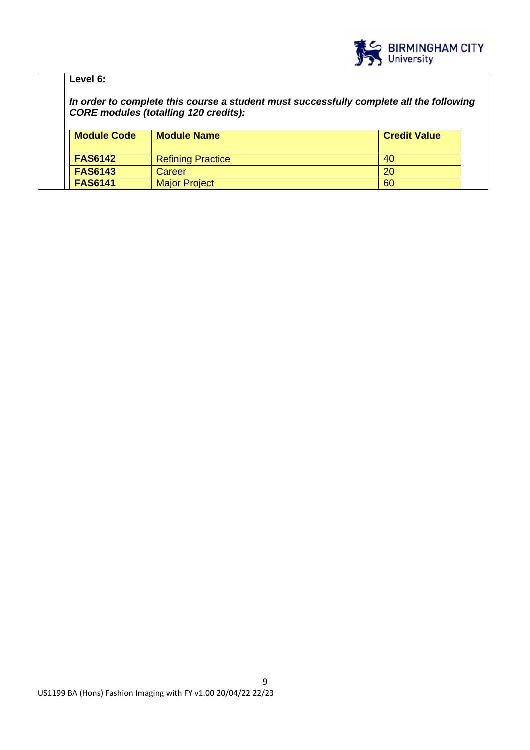

## **Level 6:**

*In order to complete this course a student must successfully complete all the following CORE modules (totalling 120 credits):*

| <b>Module Code</b> | <b>Module Name</b>       | <b>Credit Value</b> |
|--------------------|--------------------------|---------------------|
| <b>FAS6142</b>     | <b>Refining Practice</b> | 40                  |
| <b>FAS6143</b>     | Career                   | 20                  |
| <b>FAS6141</b>     | <b>Major Project</b>     | 60                  |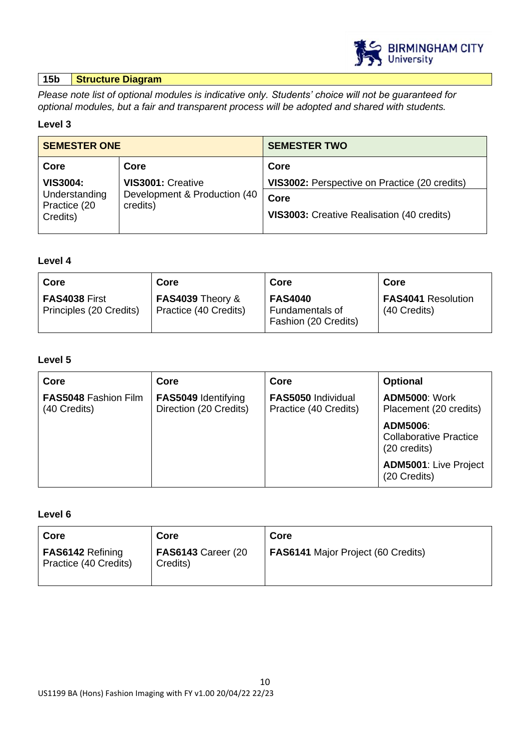

## **15b Structure Diagram**

*Please note list of optional modules is indicative only. Students' choice will not be guaranteed for optional modules, but a fair and transparent process will be adopted and shared with students.*

## **Level 3**

| <b>SEMESTER ONE</b>      |                              | <b>SEMESTER TWO</b>                           |
|--------------------------|------------------------------|-----------------------------------------------|
| Core                     | Core                         | Core                                          |
| <b>VIS3004:</b>          | VIS3001: Creative            | VIS3002: Perspective on Practice (20 credits) |
| Understanding            | Development & Production (40 | Core                                          |
| Practice (20<br>Credits) | credits)                     | VIS3003: Creative Realisation (40 credits)    |

#### **Level 4**

| Core                                     | Core                                      | Core                                                      | Core                               |
|------------------------------------------|-------------------------------------------|-----------------------------------------------------------|------------------------------------|
| FAS4038 First<br>Principles (20 Credits) | FAS4039 Theory &<br>Practice (40 Credits) | <b>FAS4040</b><br>Fundamentals of<br>Fashion (20 Credits) | FAS4041 Resolution<br>(40 Credits) |

#### **Level 5**

| Core                                        | Core                                          | Core                                               | <b>Optional</b>                                           |
|---------------------------------------------|-----------------------------------------------|----------------------------------------------------|-----------------------------------------------------------|
| <b>FAS5048 Fashion Film</b><br>(40 Credits) | FAS5049 Identifying<br>Direction (20 Credits) | <b>FAS5050 Individual</b><br>Practice (40 Credits) | <b>ADM5000: Work</b><br>Placement (20 credits)            |
|                                             |                                               |                                                    | ADM5006:<br><b>Collaborative Practice</b><br>(20 credits) |
|                                             |                                               |                                                    | <b>ADM5001: Live Project</b><br>(20 Credits)              |

## **Level 6**

| Core                                             | Core                                  | Core                                      |
|--------------------------------------------------|---------------------------------------|-------------------------------------------|
| <b>FAS6142 Refining</b><br>Practice (40 Credits) | <b>FAS6143 Career (20</b><br>Credits) | <b>FAS6141 Major Project (60 Credits)</b> |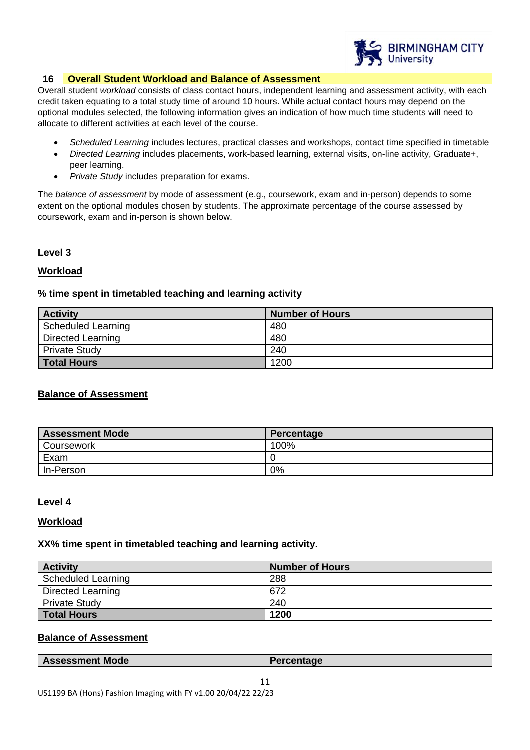

#### **16 Overall Student Workload and Balance of Assessment**

Overall student *workload* consists of class contact hours, independent learning and assessment activity, with each credit taken equating to a total study time of around 10 hours. While actual contact hours may depend on the optional modules selected, the following information gives an indication of how much time students will need to allocate to different activities at each level of the course.

- *Scheduled Learning* includes lectures, practical classes and workshops, contact time specified in timetable
- *Directed Learning* includes placements, work-based learning, external visits, on-line activity, Graduate+, peer learning.
- *Private Study* includes preparation for exams.

The *balance of assessment* by mode of assessment (e.g., coursework, exam and in-person) depends to some extent on the optional modules chosen by students. The approximate percentage of the course assessed by coursework, exam and in-person is shown below.

## **Level 3**

#### **Workload**

#### **% time spent in timetabled teaching and learning activity**

| <b>Activity</b>    | <b>Number of Hours</b> |
|--------------------|------------------------|
| Scheduled Learning | 480                    |
| Directed Learning  | 480                    |
| Private Study      | 240                    |
| <b>Total Hours</b> | 1200                   |

## **Balance of Assessment**

| <b>Assessment Mode</b> | Percentage |
|------------------------|------------|
| Coursework             | 100%       |
| Exam                   | U          |
| In-Person              | 0%         |

#### **Level 4**

#### **Workload**

#### **XX% time spent in timetabled teaching and learning activity.**

| <b>Activity</b>      | <b>Number of Hours</b> |
|----------------------|------------------------|
| Scheduled Learning   | 288                    |
| Directed Learning    | 672                    |
| <b>Private Study</b> | 240                    |
| <b>Total Hours</b>   | 1200                   |

## **Balance of Assessment**

| <b>Assessment Mode</b> | Percentage |
|------------------------|------------|